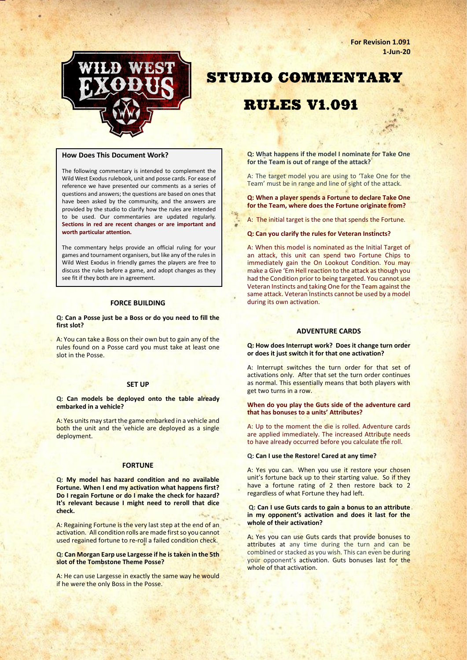**For Revision 1.091 1-Jun-20**



# **STUDIO COMMENTARY**

# **RULES V1.091**

#### **How Does This Document Work?**

The following commentary is intended to complement the Wild West Exodus rulebook, unit and posse cards. For ease of reference we have presented our comments as a series of questions and answers; the questions are based on ones that have been asked by the community, and the answers are provided by the studio to clarify how the rules are intended to be used. Our commentaries are updated regularly. **Sections in red are recent changes or are important and worth particular attention.**

The commentary helps provide an official ruling for your games and tournament organisers, but like any of the rules in Wild West Exodus in friendly games the players are free to discuss the rules before a game, and adopt changes as they see fit if they both are in agreement.

#### **FORCE BUILDING**

#### **Q: Can a Posse just be a Boss or do you need to fill the first slot?**

A: You can take a Boss on their own but to gain any of the rules found on a Posse card you must take at least one slot in the Posse.

#### **SET UP**

**Q: Can models be deployed onto the table already embarked in a vehicle?**

A: Yes units may start the game embarked in a vehicle and both the unit and the vehicle are deployed as a single deployment.

# **FORTUNE**

**Q: My model has hazard condition and no available Fortune. When I end my activation what happens first? Do I regain Fortune or do I make the check for hazard? It's relevant because I might need to reroll that dice check.**

A: Regaining Fortune is the very last step at the end of an activation. All condition rolls are made first so you cannot used regained fortune to re-roll a failed condition check.

**Q: Can Morgan Earp use Largesse if he is taken in the 5th slot of the Tombstone Theme Posse?**

A: He can use Largesse in exactly the same way he would if he were the only Boss in the Posse.

**Q: What happens if the model I nominate for Take One for the Team is out of range of the attack?** 

A: The target model you are using to 'Take One for the Team' must be in range and line of sight of the attack.

**Q: When a player spends a Fortune to declare Take One for the Team, where does the Fortune originate from?**

A: The initial target is the one that spends the Fortune.

**Q: Can you clarify the rules for Veteran Instincts?** 

A: When this model is nominated as the Initial Target of an attack, this unit can spend two Fortune Chips to immediately gain the On Lookout Condition. You may make a Give 'Em Hell reaction to the attack as though you had the Condition prior to being targeted. You cannot use Veteran Instincts and taking One for the Team against the same attack. Veteran Instincts cannot be used by a model during its own activation.

# **ADVENTURE CARDS**

**Q: How does Interrupt work? Does it change turn order or does it just switch it for that one activation?**

A: Interrupt switches the turn order for that set of activations only. After that set the turn order continues as normal. This essentially means that both players with get two turns in a row.

#### **When do you play the Guts side of the adventure card that has bonuses to a units' Attributes?**

A: Up to the moment the die is rolled. Adventure cards are applied immediately. The increased Attribute needs to have already occurred before you calculate the roll.

#### **Q: Can I use the Restore! Cared at any time?**

A: Yes you can. When you use it restore your chosen unit's fortune back up to their starting value. So if they have a fortune rating of 2 then restore back to 2 regardless of what Fortune they had left.

#### **Q: Can I use Guts cards to gain a bonus to an attribute in my opponent's activation and does it last for the whole of their activation?**

A: Yes you can use Guts cards that provide bonuses to attributes at any time during the turn and can be combined or stacked as you wish. This can even be during your opponent's activation. Guts bonuses last for the whole of that activation.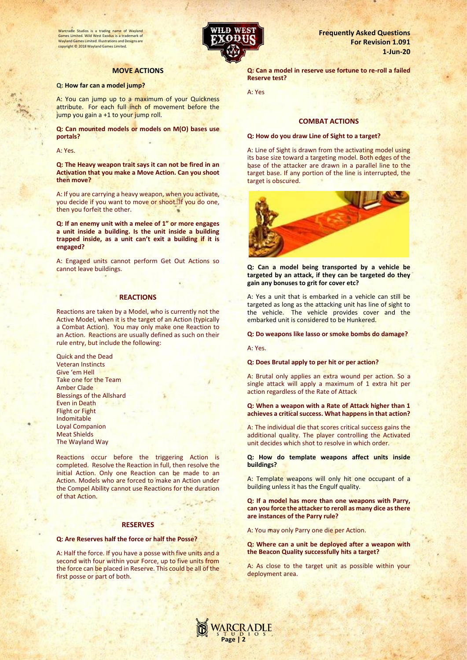Warcradle Studios is a trading name of Wayland Games Limited. Wild West Exodus is a tradem Wayland Games Limited. Illustrations and Designs are copyright © 2018 Wayland Games Limited.

# **MOVE ACTIONS**

#### **Q: How far can a model jump?**

A: You can jump up to a maximum of your Quickness attribute. For each full inch of movement before the jump you gain a +1 to your jump roll.

**Q: Can mounted models or models on M(O) bases use portals?** 

A: Yes.

**Q: The Heavy weapon trait says it can not be fired in an Activation that you make a Move Action. Can you shoot then move?**

A: If you are carrying a heavy weapon, when you activate, you decide if you want to move or shoot. If you do one, then you forfeit the other.

**Q: If an enemy unit with a melee of 1" or more engages a unit inside a building. Is the unit inside a building trapped inside, as a unit can't exit a building if it is engaged?**

A: Engaged units cannot perform Get Out Actions so cannot leave buildings.

## **REACTIONS**

Reactions are taken by a Model, who is currently not the Active Model, when it is the target of an Action (typically a Combat Action). You may only make one Reaction to an Action. Reactions are usually defined as such on their rule entry, but include the following:

Quick and the Dead Veteran Instincts Give 'em Hell Take one for the Team Amber Clade Blessings of the Allshard Even in Death Flight or Fight Indomitable Loyal Companion Meat Shields The Wayland Way

Reactions occur before the triggering Action is completed. Resolve the Reaction in full, then resolve the initial Action. Only one Reaction can be made to an Action. Models who are forced to make an Action under the Compel Ability cannot use Reactions for the duration of that Action.

#### **RESERVES**

#### **Q: Are Reserves half the force or half the Posse?**

A: Half the force. If you have a posse with five units and a second with four within your Force, up to five units from the force can be placed in Reserve. This could be all of the first posse or part of both.



**Frequently Asked Questions For Revision 1.091 1-Jun-20**

**Q: Can a model in reserve use fortune to re-roll a failed Reserve test?**

A: Yes

# **COMBAT ACTIONS**

#### **Q: How do you draw Line of Sight to a target?**

A: Line of Sight is drawn from the activating model using its base size toward a targeting model. Both edges of the base of the attacker are drawn in a parallel line to the target base. If any portion of the line is interrupted, the target is obscured.



**Q: Can a model being transported by a vehicle be targeted by an attack, if they can be targeted do they gain any bonuses to grit for cover etc?**

A: Yes a unit that is embarked in a vehicle can still be targeted as long as the attacking unit has line of sight to the vehicle. The vehicle provides cover and the embarked unit is considered to be Hunkered.

#### **Q: Do weapons like lasso or smoke bombs do damage?**

A: Yes.

#### **Q: Does Brutal apply to per hit or per action?**

A: Brutal only applies an extra wound per action. So a single attack will apply a maximum of 1 extra hit per action regardless of the Rate of Attack

#### **Q: When a weapon with a Rate of Attack higher than 1 achieves a critical success. What happens in that action?**

A: The individual die that scores critical success gains the additional quality. The player controlling the Activated unit decides which shot to resolve in which order.

**Q: How do template weapons affect units inside buildings?**

A: Template weapons will only hit one occupant of a building unless it has the Engulf quality.

**Q: If a model has more than one weapons with Parry, can you force the attacker to reroll as many dice as there are instances of the Parry rule?** 

A: You may only Parry one die per Action.

**Q: Where can a unit be deployed after a weapon with the Beacon Quality successfully hits a target?**

A: As close to the target unit as possible within your deployment area.

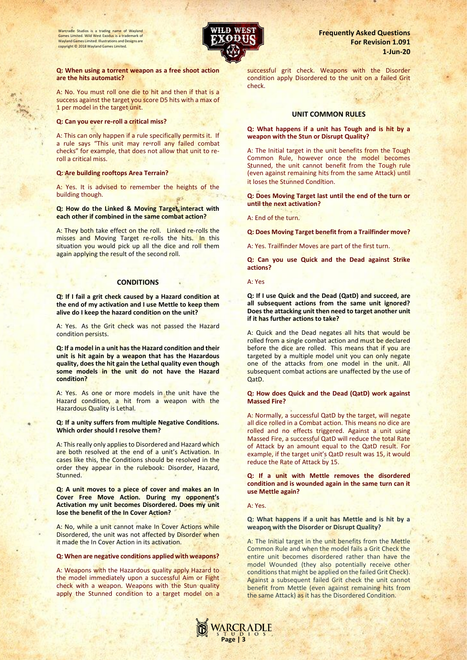Warcradle Studios is a trading name of Wayland Games Limited. Wild West Exodus is a trademark of Wayland Games Limited. Illustrations and Designs are copyright © 2018 Wayland Games Limited.



#### **Q: When using a torrent weapon as a free shoot action are the hits automatic?**

A: No. You must roll one die to hit and then if that is a success against the target you score D5 hits with a max of 1 per model in the target unit.

# **Q: Can you ever re-roll a critical miss?**

A: This can only happen if a rule specifically permits it. If a rule says "This unit may re-roll any failed combat checks" for example, that does not allow that unit to reroll a critical miss.

#### **Q: Are building rooftops Area Terrain?**

A: Yes. It is advised to remember the heights of the building though.

#### **Q: How do the Linked & Moving Target interact with each other if combined in the same combat action?**

A: They both take effect on the roll. Linked re-rolls the misses and Moving Target re-rolls the hits. In this situation you would pick up all the dice and roll them again applying the result of the second roll.

# **CONDITIONS**

**Q: If I fail a grit check caused by a Hazard condition at the end of my activation and I use Mettle to keep them alive do I keep the hazard condition on the unit?**

A: Yes. As the Grit check was not passed the Hazard condition persists.

**Q: If a model in a unit has the Hazard condition and their unit is hit again by a weapon that has the Hazardous quality, does the hit gain the Lethal quality even though some models in the unit do not have the Hazard condition?** 

A: Yes. As one or more models in the unit have the Hazard condition, a hit from a weapon with the Hazardous Quality is Lethal.

**Q: If a unity suffers from multiple Negative Conditions. Which order should I resolve them?**

A: This really only applies to Disordered and Hazard which are both resolved at the end of a unit's Activation. In cases like this, the Conditions should be resolved in the order they appear in the rulebook: Disorder, Hazard, Stunned.

**Q: A unit moves to a piece of cover and makes an In Cover Free Move Action. During my opponent's Activation my unit becomes Disordered. Does my unit lose the benefit of the In Cover Action?** 

A: No, while a unit cannot make In Cover Actions while Disordered, the unit was not affected by Disorder when it made the In Cover Action in its activation.

#### **Q: When are negative conditions applied with weapons?**

A: Weapons with the Hazardous quality apply Hazard to the model immediately upon a successful Aim or Fight check with a weapon. Weapons with the Stun quality apply the Stunned condition to a target model on a

# **Frequently Asked Questions For Revision 1.091 1-Jun-20**

successful grit check. Weapons with the Disorder condition apply Disordered to the unit on a failed Grit check.

# **UNIT COMMON RULES**

#### **Q: What happens if a unit has Tough and is hit by a weapon with the Stun or Disrupt Quality?**

A: The Initial target in the unit benefits from the Tough Common Rule, however once the model becomes Stunned, the unit cannot benefit from the Tough rule (even against remaining hits from the same Attack) until it loses the Stunned Condition.

**Q: Does Moving Target last until the end of the turn or until the next activation?** 

A: End of the turn.

**Q: Does Moving Target benefit from a Trailfinder move?** 

A: Yes. Trailfinder Moves are part of the first turn.

**Q: Can you use Quick and the Dead against Strike actions?** 

A: Yes

**Q: If I use Quick and the Dead (QatD) and succeed, are all subsequent actions from the same unit ignored? Does the attacking unit then need to target another unit if it has further actions to take?** 

A: Quick and the Dead negates all hits that would be rolled from a single combat action and must be declared before the dice are rolled. This means that if you are targeted by a multiple model unit you can only negate one of the attacks from one model in the unit. All subsequent combat actions are unaffected by the use of QatD.

#### **Q: How does Quick and the Dead (QatD) work against Massed Fire?**

A: Normally, a successful QatD by the target, will negate all dice rolled in a Combat action. This means no dice are rolled and no effects triggered. Against a unit using Massed Fire, a successful QatD will reduce the total Rate of Attack by an amount equal to the QatD result. For example, if the target unit's QatD result was 15, it would reduce the Rate of Attack by 15.

**Q: If a unit with Mettle removes the disordered condition and is wounded again in the same turn can it use Mettle again?** 

A: Yes.

### **Q: What happens if a unit has Mettle and is hit by a weapon with the Disorder or Disrupt Quality?**

A: The Initial target in the unit benefits from the Mettle Common Rule and when the model fails a Grit Check the entire unit becomes disordered rather than have the model Wounded (they also potentially receive other conditions that might be applied on the failed Grit Check). Against a subsequent failed Grit check the unit cannot benefit from Mettle (even against remaining hits from the same Attack) as it has the Disordered Condition.